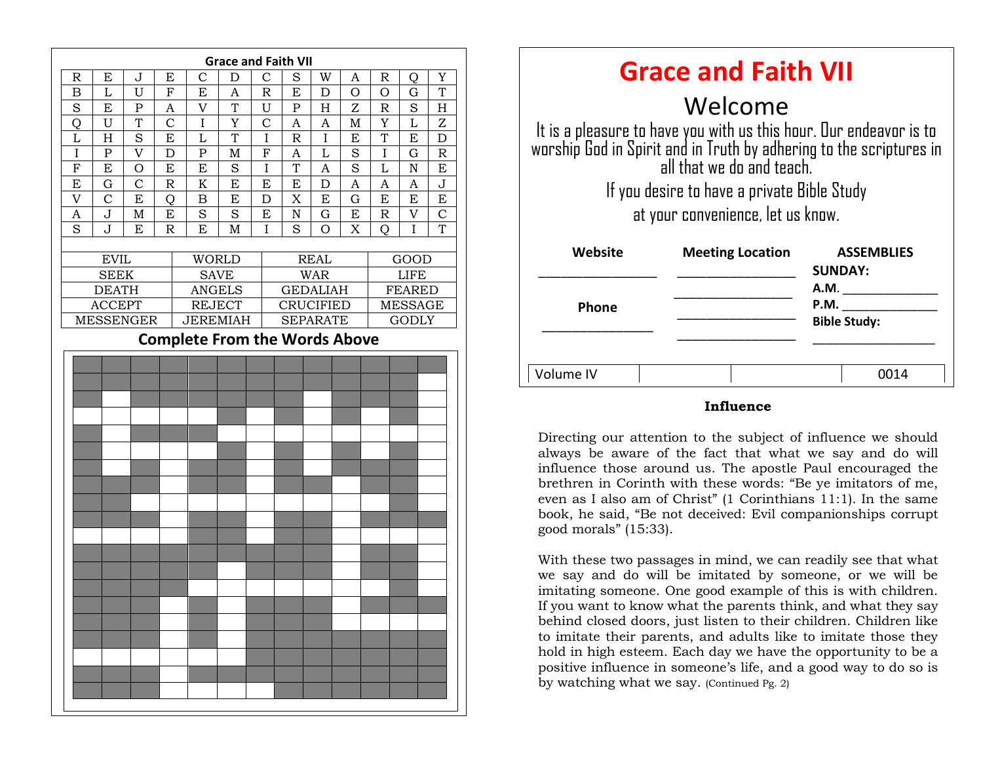

| <b>Grace and Faith VII</b>                                                                                                                                             |                         |                                     |
|------------------------------------------------------------------------------------------------------------------------------------------------------------------------|-------------------------|-------------------------------------|
| Welcome                                                                                                                                                                |                         |                                     |
| It is a pleasure to have you with us this hour. Our endeavor is to<br>worship God in Spirit and in Truth by adhering to the scriptures in<br>all that we do and teach. |                         |                                     |
| If you desire to have a private Bible Study                                                                                                                            |                         |                                     |
| at your convenience, let us know.                                                                                                                                      |                         |                                     |
| Website                                                                                                                                                                | <b>Meeting Location</b> | <b>ASSEMBLIES</b><br><b>SUNDAY:</b> |
|                                                                                                                                                                        |                         | A.M.                                |
| <b>Phone</b>                                                                                                                                                           |                         | P.M.                                |
|                                                                                                                                                                        |                         | <b>Bible Study:</b>                 |
|                                                                                                                                                                        |                         |                                     |
| Volume IV                                                                                                                                                              |                         | 0014                                |

#### **Influence**

brethren in Corinth with these words: "Be ye imitators of me, Directing our attention to the subject of influence we should always be aware of the fact that what we say and do will influence those around us. The apostle Paul encouraged the even as I also am of Christ" (1 Corinthians 11:1). In the same book, he said, "Be not deceived: Evil companionships corrupt good morals" (15:33).

With these two passages in mind, we can readily see that what we say and do will be imitated by someone, or we will be imitating someone. One good example of this is with children. If you want to know what the parents think, and what they say behind closed doors, just listen to their children. Children like to imitate their parents, and adults like to imitate those they hold in high esteem. Each day we have the opportunity to be a positive influence in someone's life, and a good way to do so is by watching what we say. (Continued Pg. 2)